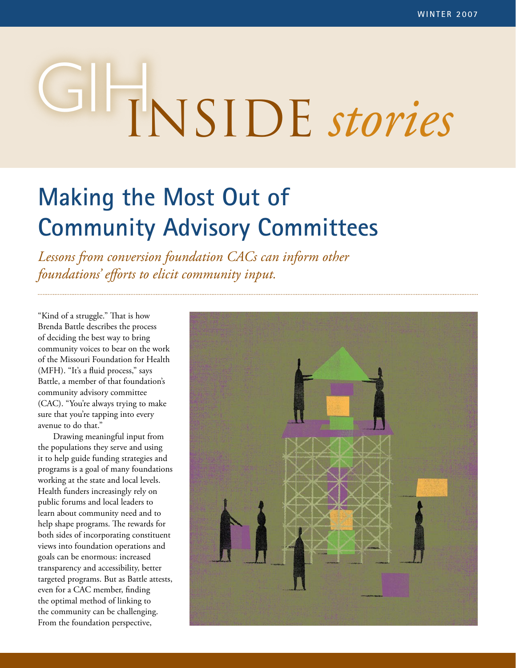# GIHINSIDE *stories*

# **Making the Most Out of Community Advisory Committees**

*Lessons from conversion foundation CACs can inform other foundations' efforts to elicit community input.* 

"Kind of a struggle." That is how Brenda Battle describes the process of deciding the best way to bring community voices to bear on the work of the Missouri Foundation for Health (MFH). "It's a fluid process," says Battle, a member of that foundation's community advisory committee (CAC). "You're always trying to make sure that you're tapping into every avenue to do that."

Drawing meaningful input from the populations they serve and using it to help guide funding strategies and programs is a goal of many foundations working at the state and local levels. Health funders increasingly rely on public forums and local leaders to learn about community need and to help shape programs. The rewards for both sides of incorporating constituent views into foundation operations and goals can be enormous: increased transparency and accessibility, better targeted programs. But as Battle attests, even for a CAC member, finding the optimal method of linking to the community can be challenging. From the foundation perspective,

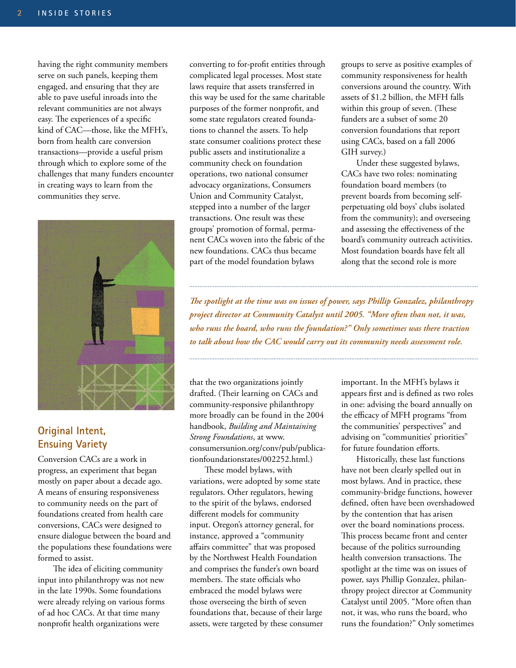having the right community members serve on such panels, keeping them engaged, and ensuring that they are able to pave useful inroads into the relevant communities are not always easy. The experiences of a specific kind of CAC—those, like the MFH's, born from health care conversion transactions—provide a useful prism through which to explore some of the challenges that many funders encounter in creating ways to learn from the communities they serve.



# **Original Intent, Ensuing Variety**

Conversion CACs are a work in progress, an experiment that began mostly on paper about a decade ago. A means of ensuring responsiveness to community needs on the part of foundations created from health care conversions, CACs were designed to ensure dialogue between the board and the populations these foundations were formed to assist.

The idea of eliciting community input into philanthropy was not new in the late 1990s. Some foundations were already relying on various forms of ad hoc CACs. At that time many nonprofit health organizations were

converting to for-profit entities through complicated legal processes. Most state laws require that assets transferred in this way be used for the same charitable purposes of the former nonprofit, and some state regulators created foundations to channel the assets. To help state consumer coalitions protect these public assets and institutionalize a community check on foundation operations, two national consumer advocacy organizations, Consumers Union and Community Catalyst, stepped into a number of the larger transactions. One result was these groups' promotion of formal, permanent CACs woven into the fabric of the new foundations. CACs thus became part of the model foundation bylaws

groups to serve as positive examples of community responsiveness for health conversions around the country. With assets of \$1.2 billion, the MFH falls within this group of seven. (These funders are a subset of some 20 conversion foundations that report using CACs, based on a fall 2006 GIH survey.)

Under these suggested bylaws, CACs have two roles: nominating foundation board members (to prevent boards from becoming selfperpetuating old boys' clubs isolated from the community); and overseeing and assessing the effectiveness of the board's community outreach activities. Most foundation boards have felt all along that the second role is more

*The spotlight at the time was on issues of power, says Phillip Gonzalez, philanthropy project director at Community Catalyst until 2005. "More often than not, it was, who runs the board, who runs the foundation?" Only sometimes was there traction to talk about how the CAC would carry out its community needs assessment role.*

that the two organizations jointly drafted. (Their learning on CACs and community-responsive philanthropy more broadly can be found in the 2004 handbook, *Building and Maintaining Strong Foundations*, at www. consumersunion.org/conv/pub/publicationfoundationstates/002252.html.)

These model bylaws, with variations, were adopted by some state regulators. Other regulators, hewing to the spirit of the bylaws, endorsed different models for community input. Oregon's attorney general, for instance, approved a "community affairs committee" that was proposed by the Northwest Health Foundation and comprises the funder's own board members. The state officials who embraced the model bylaws were those overseeing the birth of seven foundations that, because of their large assets, were targeted by these consumer

important. In the MFH's bylaws it appears first and is defined as two roles in one: advising the board annually on the efficacy of MFH programs "from the communities' perspectives" and advising on "communities' priorities" for future foundation efforts.

Historically, these last functions have not been clearly spelled out in most bylaws. And in practice, these community-bridge functions, however defined, often have been overshadowed by the contention that has arisen over the board nominations process. This process became front and center because of the politics surrounding health conversion transactions. The spotlight at the time was on issues of power, says Phillip Gonzalez, philanthropy project director at Community Catalyst until 2005. "More often than not, it was, who runs the board, who runs the foundation?" Only sometimes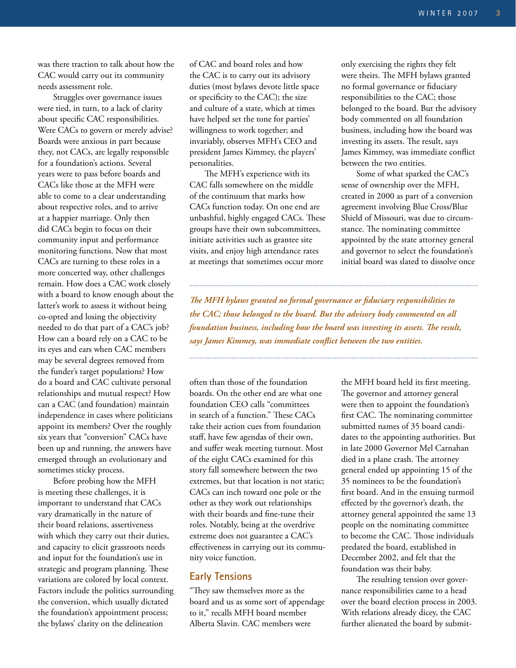was there traction to talk about how the CAC would carry out its community needs assessment role.

Struggles over governance issues were tied, in turn, to a lack of clarity about specific CAC responsibilities. Were CACs to govern or merely advise? Boards were anxious in part because they, not CACs, are legally responsible for a foundation's actions. Several years were to pass before boards and CACs like those at the MFH were able to come to a clear understanding about respective roles, and to arrive at a happier marriage. Only then did CACs begin to focus on their community input and performance monitoring functions. Now that most CACs are turning to these roles in a more concerted way, other challenges remain. How does a CAC work closely with a board to know enough about the latter's work to assess it without being co-opted and losing the objectivity needed to do that part of a CAC's job? How can a board rely on a CAC to be its eyes and ears when CAC members may be several degrees removed from the funder's target populations? How do a board and CAC cultivate personal relationships and mutual respect? How can a CAC (and foundation) maintain independence in cases where politicians appoint its members? Over the roughly six years that "conversion" CACs have been up and running, the answers have emerged through an evolutionary and sometimes sticky process.

Before probing how the MFH is meeting these challenges, it is important to understand that CACs vary dramatically in the nature of their board relations, assertiveness with which they carry out their duties, and capacity to elicit grassroots needs and input for the foundation's use in strategic and program planning. These variations are colored by local context. Factors include the politics surrounding the conversion, which usually dictated the foundation's appointment process; the bylaws' clarity on the delineation

of CAC and board roles and how the CAC is to carry out its advisory duties (most bylaws devote little space or specificity to the CAC); the size and culture of a state, which at times have helped set the tone for parties' willingness to work together; and invariably, observes MFH's CEO and president James Kimmey, the players' personalities.

The MFH's experience with its CAC falls somewhere on the middle of the continuum that marks how CACs function today. On one end are unbashful, highly engaged CACs. These groups have their own subcommittees, initiate activities such as grantee site visits, and enjoy high attendance rates at meetings that sometimes occur more

only exercising the rights they felt were theirs. The MFH bylaws granted no formal governance or fiduciary responsibilities to the CAC; those belonged to the board. But the advisory body commented on all foundation business, including how the board was investing its assets. The result, says James Kimmey, was immediate conflict between the two entities.

Some of what sparked the CAC's sense of ownership over the MFH, created in 2000 as part of a conversion agreement involving Blue Cross/Blue Shield of Missouri, was due to circumstance. The nominating committee appointed by the state attorney general and governor to select the foundation's initial board was slated to dissolve once

*The MFH bylaws granted no formal governance or fiduciary responsibilities to the CAC; those belonged to the board. But the advisory body commented on all foundation business, including how the board was investing its assets. The result, says James Kimmey, was immediate conflict between the two entities.*

often than those of the foundation boards. On the other end are what one foundation CEO calls "committees in search of a function." These CACs take their action cues from foundation staff, have few agendas of their own, and suffer weak meeting turnout. Most of the eight CACs examined for this story fall somewhere between the two extremes, but that location is not static; CACs can inch toward one pole or the other as they work out relationships with their boards and fine-tune their roles. Notably, being at the overdrive extreme does not guarantee a CAC's effectiveness in carrying out its community voice function.

#### **Early Tensions**

"They saw themselves more as the board and us as some sort of appendage to it," recalls MFH board member Alberta Slavin. CAC members were

the MFH board held its first meeting. The governor and attorney general were then to appoint the foundation's first CAC. The nominating committee submitted names of 35 board candidates to the appointing authorities. But in late 2000 Governor Mel Carnahan died in a plane crash. The attorney general ended up appointing 15 of the 35 nominees to be the foundation's first board. And in the ensuing turmoil effected by the governor's death, the attorney general appointed the same 13 people on the nominating committee to become the CAC. Those individuals predated the board, established in December 2002, and felt that the foundation was their baby.

The resulting tension over governance responsibilities came to a head over the board election process in 2003. With relations already dicey, the CAC further alienated the board by submit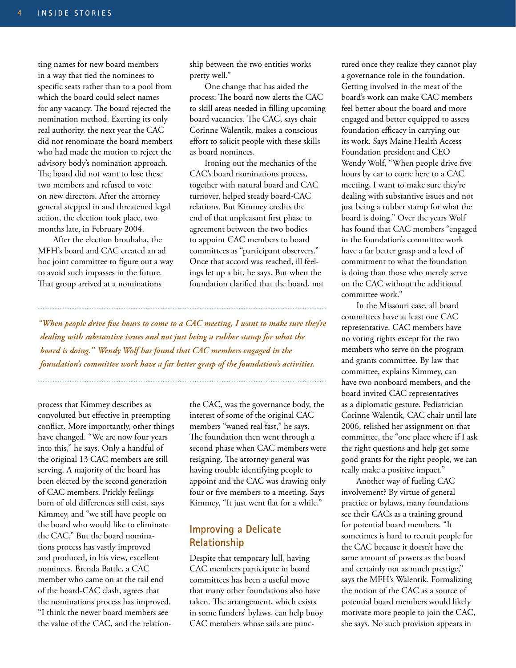ting names for new board members in a way that tied the nominees to specific seats rather than to a pool from which the board could select names for any vacancy. The board rejected the nomination method. Exerting its only real authority, the next year the CAC did not renominate the board members who had made the motion to reject the advisory body's nomination approach. The board did not want to lose these two members and refused to vote on new directors. After the attorney general stepped in and threatened legal action, the election took place, two months late, in February 2004.

After the election brouhaha, the MFH's board and CAC created an ad hoc joint committee to figure out a way to avoid such impasses in the future. That group arrived at a nominations

ship between the two entities works pretty well."

One change that has aided the process: The board now alerts the CAC to skill areas needed in filling upcoming board vacancies. The CAC, says chair Corinne Walentik, makes a conscious effort to solicit people with these skills as board nominees.

Ironing out the mechanics of the CAC's board nominations process, together with natural board and CAC turnover, helped steady board-CAC relations. But Kimmey credits the end of that unpleasant first phase to agreement between the two bodies to appoint CAC members to board committees as "participant observers." Once that accord was reached, ill feelings let up a bit, he says. But when the foundation clarified that the board, not

*"When people drive five hours to come to a CAC meeting, I want to make sure they're dealing with substantive issues and not just being a rubber stamp for what the board is doing." Wendy Wolf has found that CAC members engaged in the foundation's committee work have a far better grasp of the foundation's activities.*

process that Kimmey describes as convoluted but effective in preempting conflict. More importantly, other things have changed. "We are now four years into this," he says. Only a handful of the original 13 CAC members are still serving. A majority of the board has been elected by the second generation of CAC members. Prickly feelings born of old differences still exist, says Kimmey, and "we still have people on the board who would like to eliminate the CAC." But the board nominations process has vastly improved and produced, in his view, excellent nominees. Brenda Battle, a CAC member who came on at the tail end of the board-CAC clash, agrees that the nominations process has improved. "I think the newer board members see the value of the CAC, and the relation-

the CAC, was the governance body, the interest of some of the original CAC members "waned real fast," he says. The foundation then went through a second phase when CAC members were resigning. The attorney general was having trouble identifying people to appoint and the CAC was drawing only four or five members to a meeting. Says Kimmey, "It just went flat for a while."

# **Improving a Delicate Relationship**

Despite that temporary lull, having CAC members participate in board committees has been a useful move that many other foundations also have taken. The arrangement, which exists in some funders' bylaws, can help buoy CAC members whose sails are punc-

tured once they realize they cannot play a governance role in the foundation. Getting involved in the meat of the board's work can make CAC members feel better about the board and more engaged and better equipped to assess foundation efficacy in carrying out its work. Says Maine Health Access Foundation president and CEO Wendy Wolf, "When people drive five hours by car to come here to a CAC meeting, I want to make sure they're dealing with substantive issues and not just being a rubber stamp for what the board is doing." Over the years Wolf has found that CAC members "engaged in the foundation's committee work have a far better grasp and a level of commitment to what the foundation is doing than those who merely serve on the CAC without the additional committee work."

In the Missouri case, all board committees have at least one CAC representative. CAC members have no voting rights except for the two members who serve on the program and grants committee. By law that committee, explains Kimmey, can have two nonboard members, and the board invited CAC representatives as a diplomatic gesture. Pediatrician Corinne Walentik, CAC chair until late 2006, relished her assignment on that committee, the "one place where if I ask the right questions and help get some good grants for the right people, we can really make a positive impact."

Another way of fueling CAC involvement? By virtue of general practice or bylaws, many foundations see their CACs as a training ground for potential board members. "It sometimes is hard to recruit people for the CAC because it doesn't have the same amount of powers as the board and certainly not as much prestige," says the MFH's Walentik. Formalizing the notion of the CAC as a source of potential board members would likely motivate more people to join the CAC, she says. No such provision appears in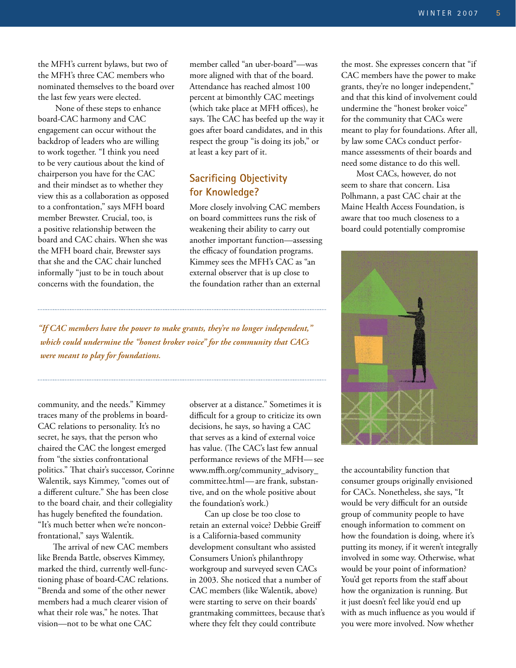the MFH's current bylaws, but two of the MFH's three CAC members who nominated themselves to the board over the last few years were elected.

 None of these steps to enhance board-CAC harmony and CAC engagement can occur without the backdrop of leaders who are willing to work together. "I think you need to be very cautious about the kind of chairperson you have for the CAC and their mindset as to whether they view this as a collaboration as opposed to a confrontation," says MFH board member Brewster. Crucial, too, is a positive relationship between the board and CAC chairs. When she was the MFH board chair, Brewster says that she and the CAC chair lunched informally "just to be in touch about concerns with the foundation, the

member called "an uber-board"—was more aligned with that of the board. Attendance has reached almost 100 percent at bimonthly CAC meetings (which take place at MFH offices), he says. The CAC has beefed up the way it goes after board candidates, and in this respect the group "is doing its job," or at least a key part of it.

### **Sacrificing Objectivity for Knowledge?**

More closely involving CAC members on board committees runs the risk of weakening their ability to carry out another important function—assessing the efficacy of foundation programs. Kimmey sees the MFH's CAC as "an external observer that is up close to the foundation rather than an external

*"If CAC members have the power to make grants, they're no longer independent," which could undermine the "honest broker voice" for the community that CACs were meant to play for foundations.*

community, and the needs." Kimmey traces many of the problems in board-CAC relations to personality. It's no secret, he says, that the person who chaired the CAC the longest emerged from "the sixties confrontational politics." That chair's successor, Corinne Walentik, says Kimmey, "comes out of a different culture." She has been close to the board chair, and their collegiality has hugely benefited the foundation. "It's much better when we're nonconfrontational," says Walentik.

The arrival of new CAC members like Brenda Battle, observes Kimmey, marked the third, currently well-functioning phase of board-CAC relations. "Brenda and some of the other newer members had a much clearer vision of what their role was," he notes. That vision—not to be what one CAC

observer at a distance." Sometimes it is difficult for a group to criticize its own decisions, he says, so having a CAC that serves as a kind of external voice has value. (The CAC's last few annual performance reviews of the MFH— see www.mffh.org/community\_advisory\_ committee.html—are frank, substantive, and on the whole positive about the foundation's work.)

Can up close be too close to retain an external voice? Debbie Greiff is a California-based community development consultant who assisted Consumers Union's philanthropy workgroup and surveyed seven CACs in 2003. She noticed that a number of CAC members (like Walentik, above) were starting to serve on their boards' grantmaking committees, because that's where they felt they could contribute

the most. She expresses concern that "if CAC members have the power to make grants, they're no longer independent," and that this kind of involvement could undermine the "honest broker voice" for the community that CACs were meant to play for foundations. After all, by law some CACs conduct performance assessments of their boards and need some distance to do this well.

Most CACs, however, do not seem to share that concern. Lisa Polhmann, a past CAC chair at the Maine Health Access Foundation, is aware that too much closeness to a board could potentially compromise



the accountability function that consumer groups originally envisioned for CACs. Nonetheless, she says, "It would be very difficult for an outside group of community people to have enough information to comment on how the foundation is doing, where it's putting its money, if it weren't integrally involved in some way. Otherwise, what would be your point of information? You'd get reports from the staff about how the organization is running. But it just doesn't feel like you'd end up with as much influence as you would if you were more involved. Now whether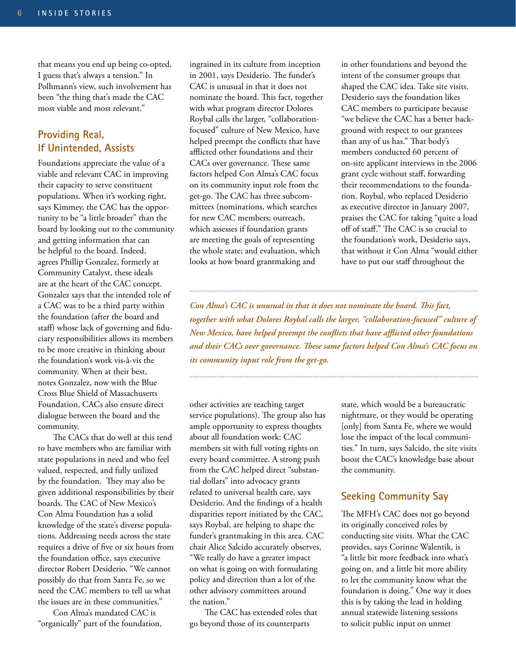that means you end up being co-opted, I guess that's always a tension." In Polhmann's view, such involvement has been "the thing that's made the CAC most viable and most relevant."

### **Providing Real, If Unintended, Assists**

Foundations appreciate the value of a viable and relevant CAC in improving their capacity to serve constituent populations. When it's working right, says Kimmey, the CAC has the opportunity to be "a little broader" than the board by looking out to the community and getting information that can be helpful to the board. Indeed, agrees Phillip Gonzalez, formerly at Community Catalyst, these ideals are at the heart of the CAC concept. Gonzalez says that the intended role of a CAC was to be a third party within the foundation (after the board and staff) whose lack of governing and fiduciary responsibilities allows its members to be more creative in thinking about the foundation's work vis-à-vis the community. When at their best, notes Gonzalez, now with the Blue Cross Blue Shield of Massachusetts Foundation, CACs also ensure direct dialogue between the board and the community.

The CACs that do well at this tend to have members who are familiar with state populations in need and who feel valued, respected, and fully utilized by the foundation. They may also be given additional responsibilities by their boards. The CAC of New Mexico's Con Alma Foundation has a solid knowledge of the state's diverse populations. Addressing needs across the state requires a drive of five or six hours from the foundation office, says executive director Robert Desiderio. "We cannot possibly do that from Santa Fe, so we need the CAC members to tell us what the issues are in these communities."

Con Alma's mandated CAC is "organically" part of the foundation,

ingrained in its culture from inception in 2001, says Desiderio. The funder's CAC is unusual in that it does not nominate the board. This fact, together with what program director Dolores Roybal calls the larger, "collaborationfocused" culture of New Mexico, have helped preempt the conflicts that have afflicted other foundations and their CACs over governance. These same factors helped Con Alma's CAC focus on its community input role from the get-go. The CAC has three subcommittees (nominations, which searches for new CAC members; outreach, which assesses if foundation grants are meeting the goals of representing the whole state; and evaluation, which looks at how board grantmaking and

that without it Con Alma "would either have to put our staff throughout the *Con Alma's CAC is unusual in that it does not nominate the board. This fact, together with what Dolores Roybal calls the larger, "collaboration-focused" culture of New Mexico, have helped preempt the conflicts that have afflicted other foundations and their CACs over governance. These same factors helped Con Alma's CAC focus on its community input role from the get-go.* 

other activities are reaching target service populations). The group also has ample opportunity to express thoughts about all foundation work: CAC members sit with full voting rights on every board committee. A strong push from the CAC helped direct "substantial dollars" into advocacy grants related to universal health care, says Desiderio. And the findings of a health disparities report initiated by the CAC, says Roybal, are helping to shape the funder's grantmaking in this area. CAC chair Alice Salcido accurately observes, "We really do have a greater impact on what is going on with formulating policy and direction than a lot of the other advisory committees around the nation."

The CAC has extended roles that go beyond those of its counterparts

state, which would be a bureaucratic nightmare, or they would be operating [only] from Santa Fe, where we would lose the impact of the local communities." In turn, says Salcido, the site visits boost the CAC's knowledge base about the community.

in other foundations and beyond the intent of the consumer groups that shaped the CAC idea. Take site visits. Desiderio says the foundation likes CAC members to participate because "we believe the CAC has a better background with respect to our grantees than any of us has." That body's members conducted 60 percent of on-site applicant interviews in the 2006 grant cycle without staff, forwarding their recommendations to the foundation. Roybal, who replaced Desiderio as executive director in January 2007, praises the CAC for taking "quite a load off of staff." The CAC is so crucial to the foundation's work, Desiderio says,

#### **Seeking Community Say**

The MFH's CAC does not go beyond its originally conceived roles by conducting site visits. What the CAC provides, says Corinne Walentik, is "a little bit more feedback into what's going on, and a little bit more ability to let the community know what the foundation is doing." One way it does this is by taking the lead in holding annual statewide listening sessions to solicit public input on unmet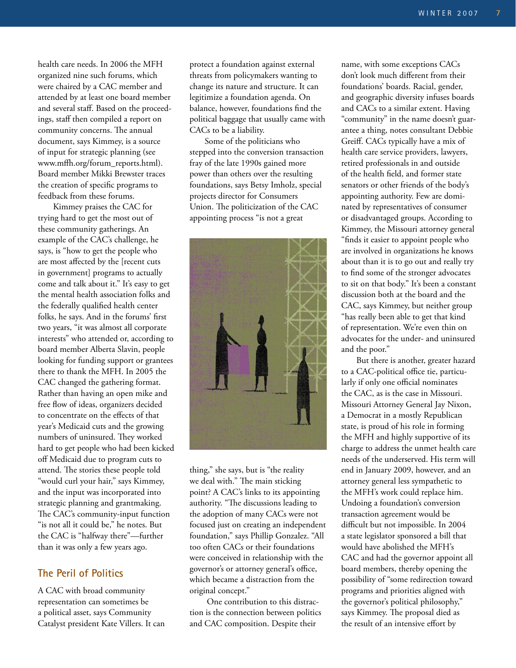health care needs. In 2006 the MFH organized nine such forums, which were chaired by a CAC member and attended by at least one board member and several staff. Based on the proceedings, staff then compiled a report on community concerns. The annual document, says Kimmey, is a source of input for strategic planning (see www.mffh.org/forum\_reports.html). Board member Mikki Brewster traces the creation of specific programs to feedback from these forums.

Kimmey praises the CAC for trying hard to get the most out of these community gatherings. An example of the CAC's challenge, he says, is "how to get the people who are most affected by the [recent cuts in government] programs to actually come and talk about it." It's easy to get the mental health association folks and the federally qualified health center folks, he says. And in the forums' first two years, "it was almost all corporate interests" who attended or, according to board member Alberta Slavin, people looking for funding support or grantees there to thank the MFH. In 2005 the CAC changed the gathering format. Rather than having an open mike and free flow of ideas, organizers decided to concentrate on the effects of that year's Medicaid cuts and the growing numbers of uninsured. They worked hard to get people who had been kicked off Medicaid due to program cuts to attend. The stories these people told "would curl your hair," says Kimmey, and the input was incorporated into strategic planning and grantmaking. The CAC's community-input function "is not all it could be," he notes. But the CAC is "halfway there"—further than it was only a few years ago.

#### **The Peril of Politics**

A CAC with broad community representation can sometimes be a political asset, says Community Catalyst president Kate Villers. It can

protect a foundation against external threats from policymakers wanting to change its nature and structure. It can legitimize a foundation agenda. On balance, however, foundations find the political baggage that usually came with CACs to be a liability.

Some of the politicians who stepped into the conversion transaction fray of the late 1990s gained more power than others over the resulting foundations, says Betsy Imholz, special projects director for Consumers Union. The politicization of the CAC appointing process "is not a great



thing," she says, but is "the reality we deal with." The main sticking point? A CAC's links to its appointing authority. "The discussions leading to the adoption of many CACs were not focused just on creating an independent foundation," says Phillip Gonzalez. "All too often CACs or their foundations were conceived in relationship with the governor's or attorney general's office, which became a distraction from the original concept."

One contribution to this distraction is the connection between politics and CAC composition. Despite their

name, with some exceptions CACs don't look much different from their foundations' boards. Racial, gender, and geographic diversity infuses boards and CACs to a similar extent. Having "community" in the name doesn't guarantee a thing, notes consultant Debbie Greiff. CACs typically have a mix of health care service providers, lawyers, retired professionals in and outside of the health field, and former state senators or other friends of the body's appointing authority. Few are dominated by representatives of consumer or disadvantaged groups. According to Kimmey, the Missouri attorney general "finds it easier to appoint people who are involved in organizations he knows about than it is to go out and really try to find some of the stronger advocates to sit on that body." It's been a constant discussion both at the board and the CAC, says Kimmey, but neither group "has really been able to get that kind of representation. We're even thin on advocates for the under- and uninsured and the poor."

But there is another, greater hazard to a CAC-political office tie, particularly if only one official nominates the CAC, as is the case in Missouri. Missouri Attorney General Jay Nixon, a Democrat in a mostly Republican state, is proud of his role in forming the MFH and highly supportive of its charge to address the unmet health care needs of the underserved. His term will end in January 2009, however, and an attorney general less sympathetic to the MFH's work could replace him. Undoing a foundation's conversion transaction agreement would be difficult but not impossible. In 2004 a state legislator sponsored a bill that would have abolished the MFH's CAC and had the governor appoint all board members, thereby opening the possibility of "some redirection toward programs and priorities aligned with the governor's political philosophy," says Kimmey. The proposal died as the result of an intensive effort by